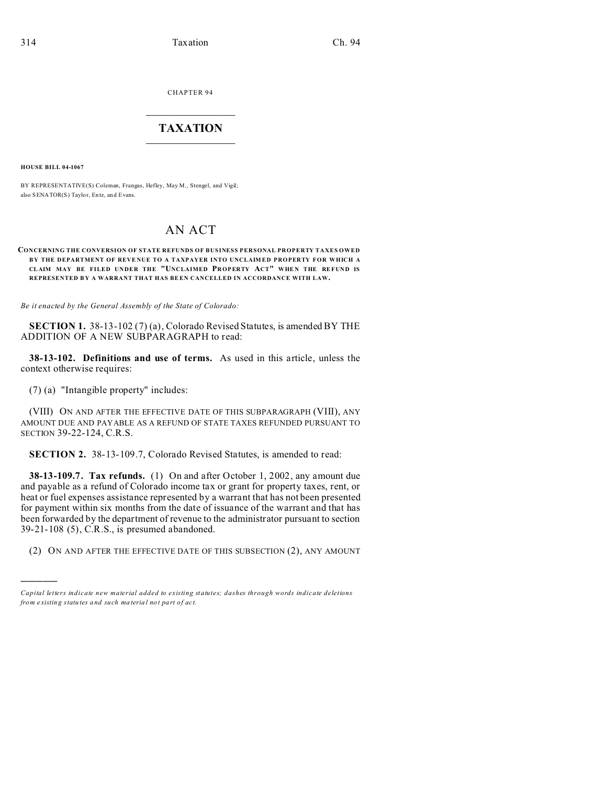CHAPTER 94  $\overline{\phantom{a}}$  , where  $\overline{\phantom{a}}$ 

## **TAXATION**  $\_$

**HOUSE BILL 04-1067**

)))))

BY REPRESENTATIVE(S) Coleman, Frangas, Hefley, May M., Stengel, and Vigil; also SENATOR(S) Taylor, En tz, and Evans.

# AN ACT

#### **CONCERNING THE CONVERSION OF STATE REFUNDS OF BUSINESS PERSONAL PROPERTY TAXES OWED** BY THE DEPARTMENT OF REVENUE TO A TAXPAYER INTO UNCLAIMED PROPERTY FOR WHICH A **CL AIM MAY BE FILED UNDER THE "UNCLAIMED PROPERTY ACT" WHE N THE REFUND IS REPRESENTED B Y A WARRANT THAT HAS BE EN CANCELLED IN ACCORDANCE WITH LAW.**

*Be it enacted by the General Assembly of the State of Colorado:*

**SECTION 1.** 38-13-102 (7) (a), Colorado Revised Statutes, is amended BY THE ADDITION OF A NEW SUBPARAGRAPH to read:

**38-13-102. Definitions and use of terms.** As used in this article, unless the context otherwise requires:

(7) (a) "Intangible property" includes:

(VIII) ON AND AFTER THE EFFECTIVE DATE OF THIS SUBPARAGRAPH (VIII), ANY AMOUNT DUE AND PAYABLE AS A REFUND OF STATE TAXES REFUNDED PURSUANT TO SECTION 39-22-124, C.R.S.

**SECTION 2.** 38-13-109.7, Colorado Revised Statutes, is amended to read:

**38-13-109.7. Tax refunds.** (1) On and after October 1, 2002, any amount due and payable as a refund of Colorado income tax or grant for property taxes, rent, or heat or fuel expenses assistance represented by a warrant that has not been presented for payment within six months from the date of issuance of the warrant and that has been forwarded by the department of revenue to the administrator pursuant to section 39-21-108 (5), C.R.S., is presumed abandoned.

(2) ON AND AFTER THE EFFECTIVE DATE OF THIS SUBSECTION (2), ANY AMOUNT

*Capital letters indicate new material added to existing statutes; dashes through words indicate deletions from e xistin g statu tes a nd such ma teria l no t pa rt of ac t.*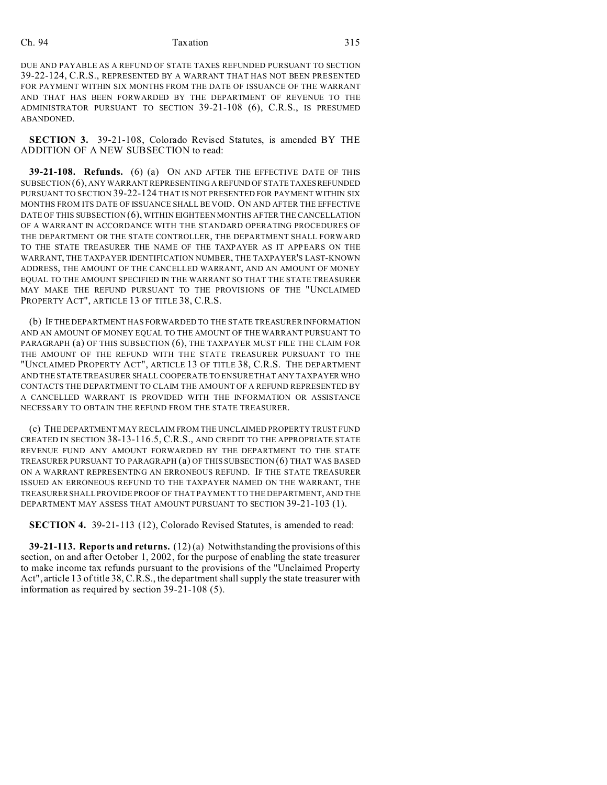## Ch. 94 Taxation 315

DUE AND PAYABLE AS A REFUND OF STATE TAXES REFUNDED PURSUANT TO SECTION 39-22-124, C.R.S., REPRESENTED BY A WARRANT THAT HAS NOT BEEN PRESENTED FOR PAYMENT WITHIN SIX MONTHS FROM THE DATE OF ISSUANCE OF THE WARRANT AND THAT HAS BEEN FORWARDED BY THE DEPARTMENT OF REVENUE TO THE ADMINISTRATOR PURSUANT TO SECTION 39-21-108 (6), C.R.S., IS PRESUMED ABANDONED.

**SECTION 3.** 39-21-108, Colorado Revised Statutes, is amended BY THE ADDITION OF A NEW SUBSECTION to read:

**39-21-108. Refunds.** (6) (a) ON AND AFTER THE EFFECTIVE DATE OF THIS SUBSECTION(6), ANY WARRANT REPRESENTING A REFUND OF STATE TAXES REFUNDED PURSUANT TO SECTION 39-22-124 THAT IS NOT PRESENTED FOR PAYMENT WITHIN SIX MONTHS FROM ITS DATE OF ISSUANCE SHALL BE VOID. ON AND AFTER THE EFFECTIVE DATE OF THIS SUBSECTION (6), WITHIN EIGHTEEN MONTHS AFTER THE CANCELLATION OF A WARRANT IN ACCORDANCE WITH THE STANDARD OPERATING PROCEDURES OF THE DEPARTMENT OR THE STATE CONTROLLER, THE DEPARTMENT SHALL FORWARD TO THE STATE TREASURER THE NAME OF THE TAXPAYER AS IT APPEARS ON THE WARRANT, THE TAXPAYER IDENTIFICATION NUMBER, THE TAXPAYER'S LAST-KNOWN ADDRESS, THE AMOUNT OF THE CANCELLED WARRANT, AND AN AMOUNT OF MONEY EQUAL TO THE AMOUNT SPECIFIED IN THE WARRANT SO THAT THE STATE TREASURER MAY MAKE THE REFUND PURSUANT TO THE PROVISIONS OF THE "UNCLAIMED PROPERTY ACT", ARTICLE 13 OF TITLE 38, C.R.S.

(b) IF THE DEPARTMENT HAS FORWARDED TO THE STATE TREASURER INFORMATION AND AN AMOUNT OF MONEY EQUAL TO THE AMOUNT OF THE WARRANT PURSUANT TO PARAGRAPH (a) OF THIS SUBSECTION (6), THE TAXPAYER MUST FILE THE CLAIM FOR THE AMOUNT OF THE REFUND WITH THE STATE TREASURER PURSUANT TO THE "UNCLAIMED PROPERTY ACT", ARTICLE 13 OF TITLE 38, C.R.S. THE DEPARTMENT AND THE STATE TREASURER SHALL COOPERATE TO ENSURE THAT ANY TAXPAYER WHO CONTACTS THE DEPARTMENT TO CLAIM THE AMOUNT OF A REFUND REPRESENTED BY A CANCELLED WARRANT IS PROVIDED WITH THE INFORMATION OR ASSISTANCE NECESSARY TO OBTAIN THE REFUND FROM THE STATE TREASURER.

(c) THE DEPARTMENT MAY RECLAIM FROM THE UNCLAIMED PROPERTY TRUST FUND CREATED IN SECTION 38-13-116.5, C.R.S., AND CREDIT TO THE APPROPRIATE STATE REVENUE FUND ANY AMOUNT FORWARDED BY THE DEPARTMENT TO THE STATE TREASURER PURSUANT TO PARAGRAPH (a) OF THIS SUBSECTION (6) THAT WAS BASED ON A WARRANT REPRESENTING AN ERRONEOUS REFUND. IF THE STATE TREASURER ISSUED AN ERRONEOUS REFUND TO THE TAXPAYER NAMED ON THE WARRANT, THE TREASURER SHALL PROVIDE PROOF OF THAT PAYMENT TO THE DEPARTMENT, AND THE DEPARTMENT MAY ASSESS THAT AMOUNT PURSUANT TO SECTION 39-21-103 (1).

**SECTION 4.** 39-21-113 (12), Colorado Revised Statutes, is amended to read:

**39-21-113. Reports and returns.** (12) (a) Notwithstanding the provisions of this section, on and after October 1, 2002, for the purpose of enabling the state treasurer to make income tax refunds pursuant to the provisions of the "Unclaimed Property Act", article 13 of title 38, C.R.S., the department shall supply the state treasurer with information as required by section 39-21-108 (5).